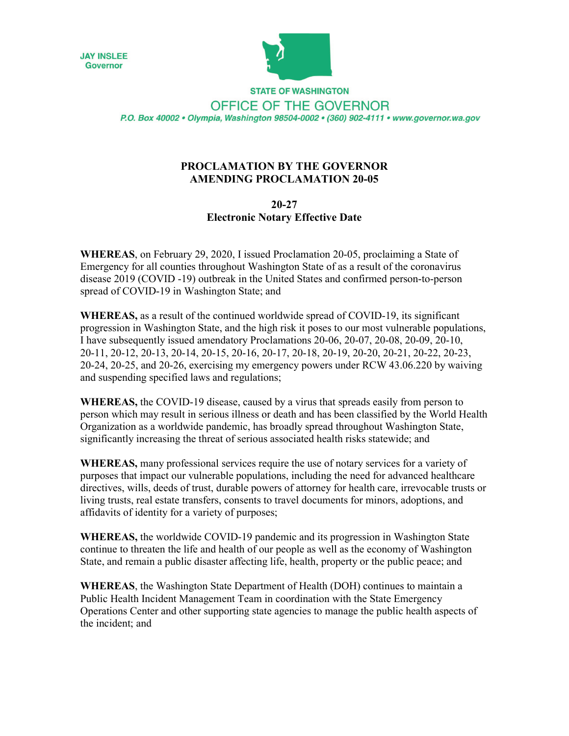



**STATE OF WASHINGTON** OFFICE OF THE GOVERNOR P.O. Box 40002 · Olympia, Washington 98504-0002 · (360) 902-4111 · www.governor.wa.gov

## **PROCLAMATION BY THE GOVERNOR AMENDING PROCLAMATION 20-05**

## **20-27 Electronic Notary Effective Date**

**WHEREAS**, on February 29, 2020, I issued Proclamation 20-05, proclaiming a State of Emergency for all counties throughout Washington State of as a result of the coronavirus disease 2019 (COVID -19) outbreak in the United States and confirmed person-to-person spread of COVID-19 in Washington State; and

**WHEREAS,** as a result of the continued worldwide spread of COVID-19, its significant progression in Washington State, and the high risk it poses to our most vulnerable populations, I have subsequently issued amendatory Proclamations 20-06, 20-07, 20-08, 20-09, 20-10, 20-11, 20-12, 20-13, 20-14, 20-15, 20-16, 20-17, 20-18, 20-19, 20-20, 20-21, 20-22, 20-23, 20-24, 20-25, and 20-26, exercising my emergency powers under RCW 43.06.220 by waiving and suspending specified laws and regulations;

**WHEREAS,** the COVID-19 disease, caused by a virus that spreads easily from person to person which may result in serious illness or death and has been classified by the World Health Organization as a worldwide pandemic, has broadly spread throughout Washington State, significantly increasing the threat of serious associated health risks statewide; and

**WHEREAS,** many professional services require the use of notary services for a variety of purposes that impact our vulnerable populations, including the need for advanced healthcare directives, wills, deeds of trust, durable powers of attorney for health care, irrevocable trusts or living trusts, real estate transfers, consents to travel documents for minors, adoptions, and affidavits of identity for a variety of purposes;

**WHEREAS,** the worldwide COVID-19 pandemic and its progression in Washington State continue to threaten the life and health of our people as well as the economy of Washington State, and remain a public disaster affecting life, health, property or the public peace; and

**WHEREAS**, the Washington State Department of Health (DOH) continues to maintain a Public Health Incident Management Team in coordination with the State Emergency Operations Center and other supporting state agencies to manage the public health aspects of the incident; and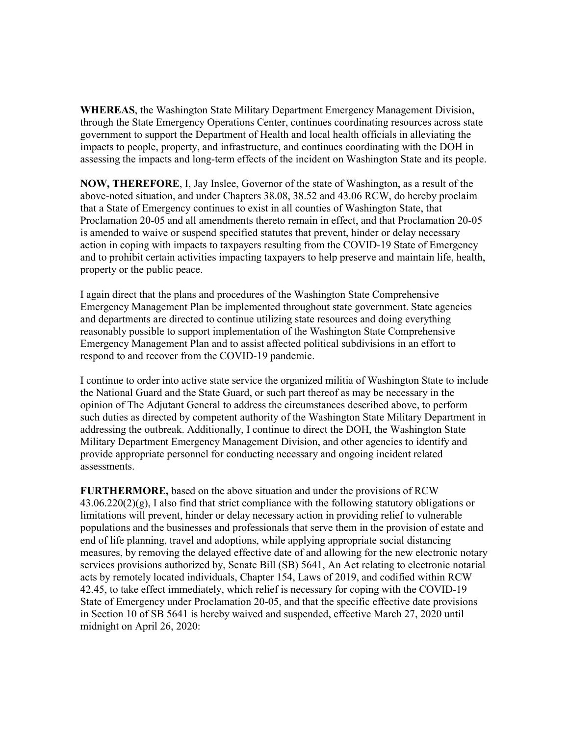**WHEREAS**, the Washington State Military Department Emergency Management Division, through the State Emergency Operations Center, continues coordinating resources across state government to support the Department of Health and local health officials in alleviating the impacts to people, property, and infrastructure, and continues coordinating with the DOH in assessing the impacts and long-term effects of the incident on Washington State and its people.

**NOW, THEREFORE**, I, Jay Inslee, Governor of the state of Washington, as a result of the above-noted situation, and under Chapters 38.08, 38.52 and 43.06 RCW, do hereby proclaim that a State of Emergency continues to exist in all counties of Washington State, that Proclamation 20-05 and all amendments thereto remain in effect, and that Proclamation 20-05 is amended to waive or suspend specified statutes that prevent, hinder or delay necessary action in coping with impacts to taxpayers resulting from the COVID-19 State of Emergency and to prohibit certain activities impacting taxpayers to help preserve and maintain life, health, property or the public peace.

I again direct that the plans and procedures of the Washington State Comprehensive Emergency Management Plan be implemented throughout state government. State agencies and departments are directed to continue utilizing state resources and doing everything reasonably possible to support implementation of the Washington State Comprehensive Emergency Management Plan and to assist affected political subdivisions in an effort to respond to and recover from the COVID-19 pandemic.

I continue to order into active state service the organized militia of Washington State to include the National Guard and the State Guard, or such part thereof as may be necessary in the opinion of The Adjutant General to address the circumstances described above, to perform such duties as directed by competent authority of the Washington State Military Department in addressing the outbreak. Additionally, I continue to direct the DOH, the Washington State Military Department Emergency Management Division, and other agencies to identify and provide appropriate personnel for conducting necessary and ongoing incident related assessments.

**FURTHERMORE,** based on the above situation and under the provisions of RCW  $43.06.220(2)(g)$ , I also find that strict compliance with the following statutory obligations or limitations will prevent, hinder or delay necessary action in providing relief to vulnerable populations and the businesses and professionals that serve them in the provision of estate and end of life planning, travel and adoptions, while applying appropriate social distancing measures, by removing the delayed effective date of and allowing for the new electronic notary services provisions authorized by, Senate Bill (SB) 5641, An Act relating to electronic notarial acts by remotely located individuals, Chapter 154, Laws of 2019, and codified within RCW 42.45, to take effect immediately, which relief is necessary for coping with the COVID-19 State of Emergency under Proclamation 20-05, and that the specific effective date provisions in Section 10 of SB 5641 is hereby waived and suspended, effective March 27, 2020 until midnight on April 26, 2020: